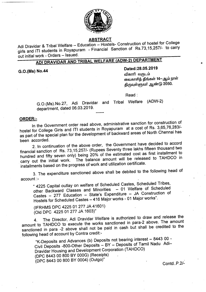

# **ABSTRACT**

Adi Dravidar & Tribal Welfare — Education — Hostels- Construction of hostel for College 'girls and ITl students in Royapuram - Financial Sanction of Rs.73,15,257/- to carry out initial work - Orders — Issued.

# ADI DRAVIDAR AND TRIBAL WELFARE (ADW-2) DEPARTMENT

G.O.(Ms) No.44 .

# Dated:28.05.2019

விகாரி வருடம் வைகாசித் திங்கள் 14—ஆம் நாள் திருவுள்ளுவர் ஆண்டு 2050.

Read :

G.O.(Ms).No.27, Adi Dravidar. and Tribal Welfare (ADW-2) department, dated 06.03.2019.

#### ORDER:—.

In the Government order read above, administrative sanction for construction of hostel for College Girls and lTl students in Royapuram at <sup>a</sup> cost of Rs. 3,65,76,283Ias part of the special plan for the development of backward areas of North Chennai has been accorded.

2., ln continuation of the above order, the Government have decided to accord financial sanction of Rs. 73,15,257/— (Rupees Seventy three lakhs fifteen thousand two hundred and fifty seven only) being 20% of the estimated cost as first installment to carry out the initial work. The balance amount will be released to TAHDCO in installments based on the progress of work and utilization certificate.

3. The expenditure sanctioned above shall be debited to the following head of account :-

" <sup>4225</sup> Capital outlay on welfare of Scheduled Castes, Scheduled Tribes, other Backward Classes and Minorities — <sup>01</sup> Welfare of Scheduled other Backward Classes and immediate<br>Castes – 277 Education – State's Expenditure – JA Construction of Hostels for Scheduled Castes — <sup>416</sup> Major works - <sup>01</sup> Major works".

(IFRHMS DPC 4225 <sup>01</sup> 277 JA 41601) (Old DPC 4225 <sup>01</sup> 277 JA 1603)"

4. The Director, Adi Dravidar Welfare is authorized to draw and release the amount to TAHDCO to execute the works sanctioned in para-2 above. The amount sanctioned in para -2 above shall not be paid in cash but shall be credited to the following head of account by Contra credit:-

"K-Deposits and Advances (b) Deposits not bearing interest — <sup>8443</sup> <sup>00</sup> - Civil Deposits -800-Other Deposits — BY — Deposits of Tamil Nadu Adi— Dravidar Housing and Development Corporation (TAHDCO) (DPC 8443 00 800 BY 000G) (Receipts) (DPC 8443 00 800 BY 0004) (Outgo)" Contd..P.2/-